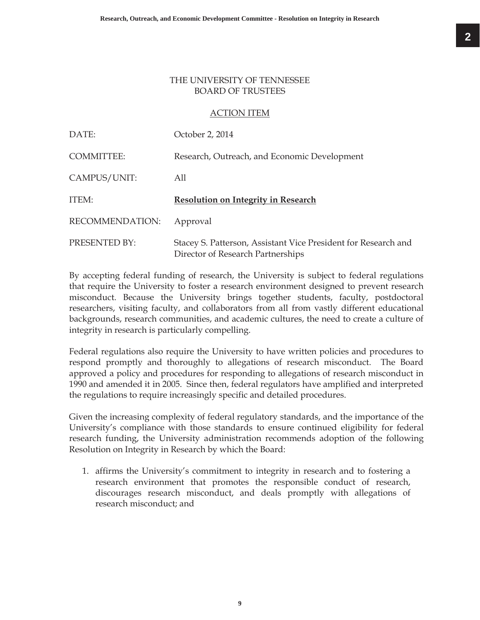## THE UNIVERSITY OF TENNESSEE BOARD OF TRUSTEES

## ACTION ITEM

| DATE:             | October 2, 2014                                                                                     |
|-------------------|-----------------------------------------------------------------------------------------------------|
| <b>COMMITTEE:</b> | Research, Outreach, and Economic Development                                                        |
| CAMPUS/UNIT:      | All                                                                                                 |
| ITEM:             | <b>Resolution on Integrity in Research</b>                                                          |
| RECOMMENDATION:   | Approval                                                                                            |
| PRESENTED BY:     | Stacey S. Patterson, Assistant Vice President for Research and<br>Director of Research Partnerships |

By accepting federal funding of research, the University is subject to federal regulations that require the University to foster a research environment designed to prevent research misconduct. Because the University brings together students, faculty, postdoctoral researchers, visiting faculty, and collaborators from all from vastly different educational backgrounds, research communities, and academic cultures, the need to create a culture of integrity in research is particularly compelling.

Federal regulations also require the University to have written policies and procedures to respond promptly and thoroughly to allegations of research misconduct. The Board approved a policy and procedures for responding to allegations of research misconduct in 1990 and amended it in 2005. Since then, federal regulators have amplified and interpreted the regulations to require increasingly specific and detailed procedures.

Given the increasing complexity of federal regulatory standards, and the importance of the University's compliance with those standards to ensure continued eligibility for federal research funding, the University administration recommends adoption of the following Resolution on Integrity in Research by which the Board:

1. affirms the University's commitment to integrity in research and to fostering a research environment that promotes the responsible conduct of research, discourages research misconduct, and deals promptly with allegations of research misconduct; and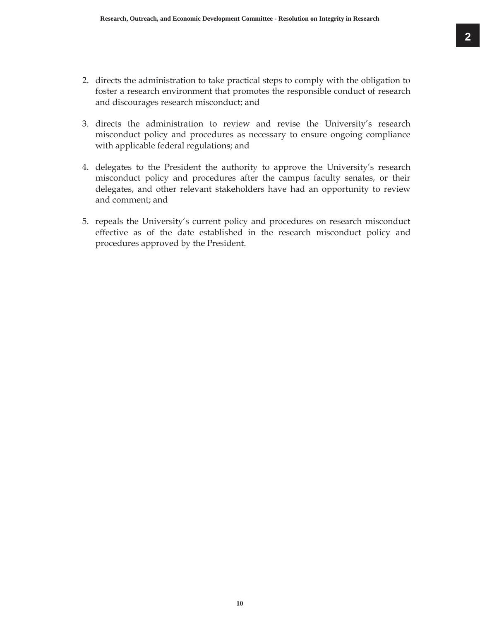- 2. directs the administration to take practical steps to comply with the obligation to foster a research environment that promotes the responsible conduct of research and discourages research misconduct; and
- 3. directs the administration to review and revise the University's research misconduct policy and procedures as necessary to ensure ongoing compliance with applicable federal regulations; and
- 4. delegates to the President the authority to approve the University's research misconduct policy and procedures after the campus faculty senates, or their delegates, and other relevant stakeholders have had an opportunity to review and comment; and
- 5. repeals the University's current policy and procedures on research misconduct effective as of the date established in the research misconduct policy and procedures approved by the President.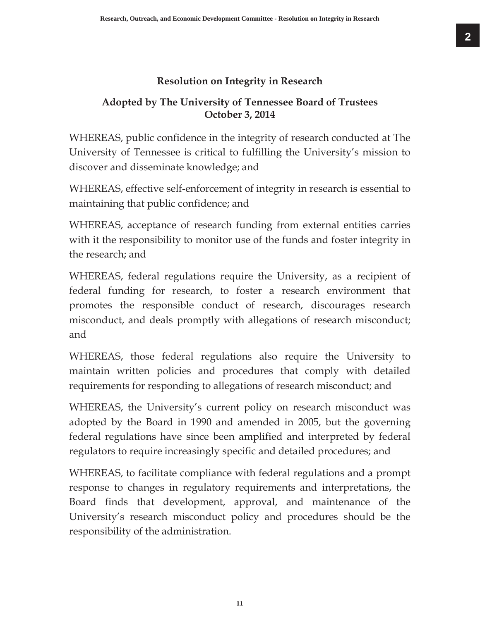## **Resolution on Integrity in Research**

## **Adopted by The University of Tennessee Board of Trustees October 3, 2014**

WHEREAS, public confidence in the integrity of research conducted at The University of Tennessee is critical to fulfilling the University's mission to discover and disseminate knowledge; and

WHEREAS, effective self-enforcement of integrity in research is essential to maintaining that public confidence; and

WHEREAS, acceptance of research funding from external entities carries with it the responsibility to monitor use of the funds and foster integrity in the research; and

WHEREAS, federal regulations require the University, as a recipient of federal funding for research, to foster a research environment that promotes the responsible conduct of research, discourages research misconduct, and deals promptly with allegations of research misconduct; and

WHEREAS, those federal regulations also require the University to maintain written policies and procedures that comply with detailed requirements for responding to allegations of research misconduct; and

WHEREAS, the University's current policy on research misconduct was adopted by the Board in 1990 and amended in 2005, but the governing federal regulations have since been amplified and interpreted by federal regulators to require increasingly specific and detailed procedures; and

WHEREAS, to facilitate compliance with federal regulations and a prompt response to changes in regulatory requirements and interpretations, the Board finds that development, approval, and maintenance of the University's research misconduct policy and procedures should be the responsibility of the administration.